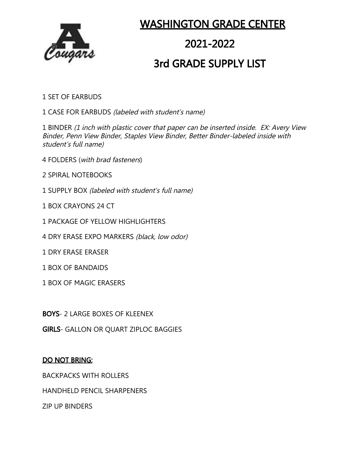

### WASHINGTON GRADE CENTER

## 2021-2022

### 3rd GRADE SUPPLY LIST

1 SET OF EARBUDS

1 CASE FOR EARBUDS (labeled with student's name)

1 BINDER (1 inch with plastic cover that paper can be inserted inside. EX: Avery View Binder, Penn View Binder, Staples View Binder, Better Binder-labeled inside with student's full name)

- 4 FOLDERS (with brad fasteners)
- 2 SPIRAL NOTEBOOKS
- 1 SUPPLY BOX (labeled with student's full name)
- 1 BOX CRAYONS 24 CT
- 1 PACKAGE OF YELLOW HIGHLIGHTERS
- 4 DRY ERASE EXPO MARKERS (black, low odor)
- 1 DRY ERASE ERASER
- 1 BOX OF BANDAIDS
- 1 BOX OF MAGIC ERASERS

BOYS- 2 LARGE BOXES OF KLEENEX

GIRLS- GALLON OR QUART ZIPLOC BAGGIES

#### DO NOT BRING:

BACKPACKS WITH ROLLERS

HANDHELD PENCIL SHARPENERS

ZIP UP BINDERS